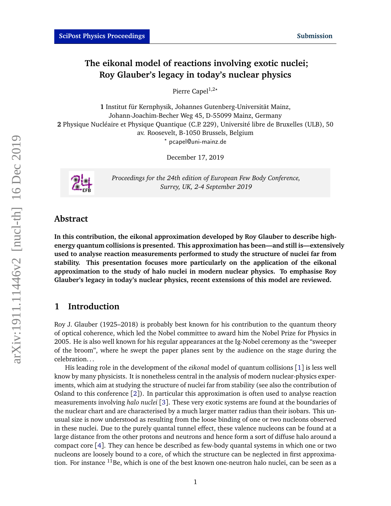# **The eikonal model of reactions involving exotic nuclei; Roy Glauber's legacy in today's nuclear physics**

Pierre Capel<sup>1,2\*</sup>

**1** Institut für Kernphysik, Johannes Gutenberg-Universität Mainz, Johann-Joachim-Becher Weg 45, D-55099 Mainz, Germany **2** Physique Nucléaire et Physique Quantique (C.P. 229), Université libre de Bruxelles (ULB), 50 av. Roosevelt, B-1050 Brussels, Belgium *?* pcapel@uni-mainz.de

December 17, 2019



*Proceedings for the 24th edition of European Few Body Conference, Surrey, UK, 2-4 September 2019*

# **Abstract**

**In this contribution, the eikonal approximation developed by Roy Glauber to describe highenergy quantum collisions is presented. This approximation has been—and still is—extensively used to analyse reaction measurements performed to study the structure of nuclei far from stability. This presentation focuses more particularly on the application of the eikonal approximation to the study of halo nuclei in modern nuclear physics. To emphasise Roy Glauber's legacy in today's nuclear physics, recent extensions of this model are reviewed.**

# **1 Introduction**

Roy J. Glauber (1925–2018) is probably best known for his contribution to the quantum theory of optical coherence, which led the Nobel committee to award him the Nobel Prize for Physics in 2005. He is also well known for his regular appearances at the Ig-Nobel ceremony as the "sweeper of the broom", where he swept the paper planes sent by the audience on the stage during the celebration. . .

His leading role in the development of the *eikonal* model of quantum collisions [[1](#page-11-0)] is less well know by many physicists. It is nonetheless central in the analysis of modern nuclear-physics experiments, which aim at studying the structure of nuclei far from stability (see also the contribution of Osland to this conference  $\lceil 2 \rceil$  $\lceil 2 \rceil$  $\lceil 2 \rceil$ ). In particular this approximation is often used to analyse reaction measurements involving *halo nuclei* [[3](#page-11-2)]. These very exotic systems are found at the boundaries of the nuclear chart and are characterised by a much larger matter radius than their isobars. This unusual size is now understood as resulting from the loose binding of one or two nucleons observed in these nuclei. Due to the purely quantal tunnel effect, these valence nucleons can be found at a large distance from the other protons and neutrons and hence form a sort of diffuse halo around a compact core [[4](#page-11-3)]. They can hence be described as few-body quantal systems in which one or two nucleons are loosely bound to a core, of which the structure can be neglected in first approximation. For instance  $11Be$ , which is one of the best known one-neutron halo nuclei, can be seen as a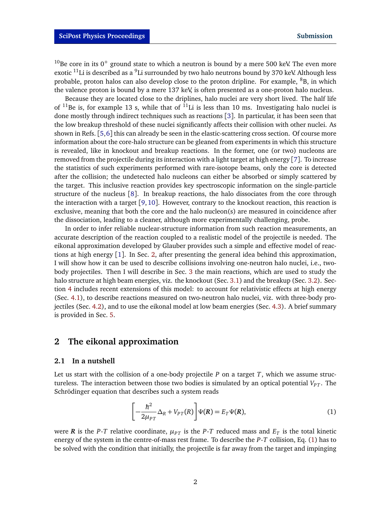<sup>10</sup>Be core in its 0<sup>+</sup> ground state to which a neutron is bound by a mere 500 keV. The even more exotic  $^{11}$ Li is described as a  $^9$ Li surrounded by two halo neutrons bound by 370 keV. Although less probable, proton halos can also develop close to the proton dripline. For example,  ${}^{8}B$ , in which the valence proton is bound by a mere 137 keV, is often presented as a one-proton halo nucleus.

Because they are located close to the driplines, halo nuclei are very short lived. The half life of  $^{11}$ Be is, for example 13 s, while that of  $^{11}$ Li is less than 10 ms. Investigating halo nuclei is done mostly through indirect techniques such as reactions [[3](#page-11-2)]. In particular, it has been seen that the low breakup threshold of these nuclei significantly affects their collision with other nuclei. As shown in Refs. [[5,](#page-11-4)[6](#page-11-5)] this can already be seen in the elastic-scattering cross section. Of course more information about the core-halo structure can be gleaned from experiments in which this structure is revealed, like in knockout and breakup reactions. In the former, one (or two) nucleons are removed from the projectile during its interaction with a light target at high energy [[7](#page-11-6)]. To increase the statistics of such experiments performed with rare-isotope beams, only the core is detected after the collision; the undetected halo nucleons can either be absorbed or simply scattered by the target. This inclusive reaction provides key spectroscopic information on the single-particle structure of the nucleus [[8](#page-11-7)]. In breakup reactions, the halo dissociates from the core through the interaction with a target [[9,](#page-11-8) [10](#page-11-9)]. However, contrary to the knockout reaction, this reaction is exclusive, meaning that both the core and the halo nucleon(s) are measured in coincidence after the dissociation, leading to a cleaner, although more experimentally challenging, probe.

In order to infer reliable nuclear-structure information from such reaction measurements, an accurate description of the reaction coupled to a realistic model of the projectile is needed. The eikonal approximation developed by Glauber provides such a simple and effective model of reactions at high energy [[1](#page-11-0)]. In Sec. [2,](#page-1-0) after presenting the general idea behind this approximation, I will show how it can be used to describe collisions involving one-neutron halo nuclei, i.e., twobody projectiles. Then I will describe in Sec. [3](#page-4-0) the main reactions, which are used to study the halo structure at high beam energies, viz. the knockout (Sec. [3.1\)](#page-4-1) and the breakup (Sec. [3.2\)](#page-5-0). Section [4](#page-7-0) includes recent extensions of this model: to account for relativistic effects at high energy (Sec. [4.1\)](#page-7-1), to describe reactions measured on two-neutron halo nuclei, viz. with three-body projectiles (Sec. [4.2\)](#page-7-2), and to use the eikonal model at low beam energies (Sec. [4.3\)](#page-7-3). A brief summary is provided in Sec. [5.](#page-10-0)

### <span id="page-1-0"></span>**2 The eikonal approximation**

#### <span id="page-1-2"></span>**2.1 In a nutshell**

Let us start with the collision of a one-body projectile *P* on a target *T*, which we assume structureless. The interaction between those two bodies is simulated by an optical potential  $V_{PT}$ . The Schrödinger equation that describes such a system reads

<span id="page-1-1"></span>
$$
\left[-\frac{\hbar^2}{2\mu_{PT}}\Delta_R + V_{PT}(R)\right]\Psi(R) = E_T\Psi(R),\tag{1}
$$

were *R* is the *P-T* relative coordinate,  $\mu_{PT}$  is the *P-T* reduced mass and  $E_T$  is the total kinetic energy of the system in the centre-of-mass rest frame. To describe the *P*-*T* collision, Eq. [\(1\)](#page-1-1) has to be solved with the condition that initially, the projectile is far away from the target and impinging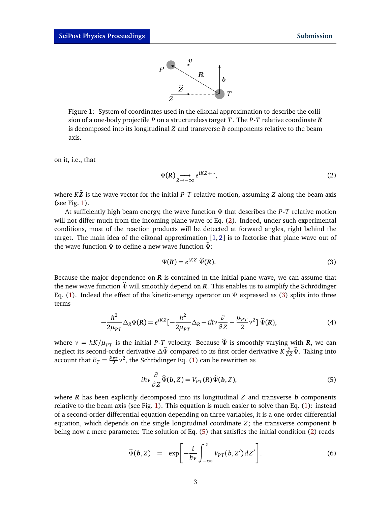

<span id="page-2-0"></span>Figure 1: System of coordinates used in the eikonal approximation to describe the collision of a one-body projectile *P* on a structureless target *T*. The *P*-*T* relative coordinate *R* is decomposed into its longitudinal *Z* and transverse *b* components relative to the beam axis.

on it, i.e., that

<span id="page-2-1"></span>
$$
\Psi(R) \underset{Z \to -\infty}{\longrightarrow} e^{iKZ + \cdots},\tag{2}
$$

where  $K\hat{Z}$  is the wave vector for the initial *P*-*T* relative motion, assuming *Z* along the beam axis (see Fig. [1\)](#page-2-0).

At sufficiently high beam energy, the wave function *Ψ* that describes the *P*-*T* relative motion will not differ much from the incoming plane wave of Eq. [\(2\)](#page-2-1). Indeed, under such experimental conditions, most of the reaction products will be detected at forward angles, right behind the target. The main idea of the eikonal approximation  $[1, 2]$  $[1, 2]$  $[1, 2]$  $[1, 2]$  $[1, 2]$  is to factorise that plane wave out of the wave function *<sup>Ψ</sup>* to define a new wave function *<sup>Ψ</sup>*b:

<span id="page-2-2"></span>
$$
\Psi(\mathbf{R}) = e^{i\mathbf{K}Z} \; \widehat{\Psi}(\mathbf{R}).\tag{3}
$$

Because the major dependence on *R* is contained in the initial plane wave, we can assume that the new wave function *<sup>Ψ</sup>*<sup>b</sup> will smoothly depend on *<sup>R</sup>*. This enables us to simplify the Schrödinger Eq. [\(1\)](#page-1-1). Indeed the effect of the kinetic-energy operator on *Ψ* expressed as [\(3\)](#page-2-2) splits into three terms

$$
-\frac{\hbar^2}{2\mu_{PT}}\Delta_R\Psi(\mathbf{R}) = e^{iKZ}\left[-\frac{\hbar^2}{2\mu_{PT}}\Delta_R - i\hbar\nu\frac{\partial}{\partial Z} + \frac{\mu_{PT}}{2}\nu^2\right]\hat{\Psi}(\mathbf{R}),\tag{4}
$$

where  $v = \hbar K/\mu_{PT}$  is the initial *P*-*T* velocity. Because  $\hat{\Psi}$  is smoothly varying with *R*, we can neglect its second-order derivative  $\Delta \hat{\Psi}$  compared to its first order derivative *K*  $\frac{\partial}{\partial z} \hat{\Psi}$ . Taking into account that  $E_T = \frac{\mu_{PT}}{2} v^2$ , the Schrödinger Eq. [\(1\)](#page-1-1) can be rewritten as

<span id="page-2-3"></span>
$$
i\hbar v \frac{\partial}{\partial Z} \widehat{\Psi}(\mathbf{b}, Z) = V_{PT}(R) \widehat{\Psi}(\mathbf{b}, Z), \tag{5}
$$

where *R* has been explicitly decomposed into its longitudinal *Z* and transverse *b* components relative to the beam axis (see Fig. [1\)](#page-2-0). This equation is much easier to solve than Eq. [\(1\)](#page-1-1): instead of a second-order differential equation depending on three variables, it is a one-order differential equation, which depends on the single longitudinal coordinate *Z*; the transverse component *b* being now a mere parameter. The solution of Eq. [\(5\)](#page-2-3) that satisfies the initial condition [\(2\)](#page-2-1) reads

$$
\widehat{\Psi}(\boldsymbol{b},Z) = \exp\bigg[-\frac{i}{\hbar\nu}\int_{-\infty}^{Z}V_{PT}(b,Z')\,dZ'\bigg].\tag{6}
$$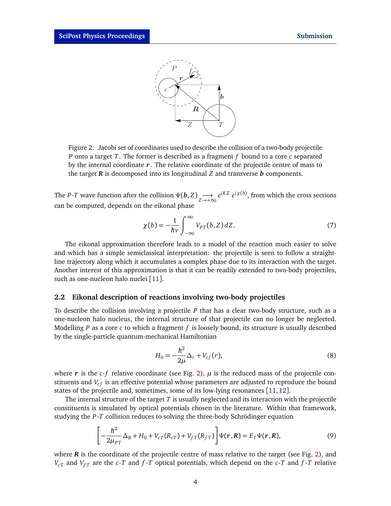

<span id="page-3-0"></span>Figure 2: Jacobi set of coordinates used to describe the collision of a two-body projectile *P* onto a target *T*. The former is described as a fragment *f* bound to a core *c* separated by the internal coordinate *r* . The relative coordinate of the projectile centre of mass to the target *R* is decomposed into its longitudinal *Z* and transverse *b* components.

The *P*-*T* wave function after the collision  $\Psi(\mathbf{b}, Z) \longrightarrow e^{iKZ} e^{i\chi(b)}$ , from which the cross sections can be computed, depends on the eikonal phase

<span id="page-3-3"></span>
$$
\chi(b) = -\frac{1}{\hbar\nu} \int_{-\infty}^{\infty} V_{PT}(b, Z) \, dZ. \tag{7}
$$

The eikonal approximation therefore leads to a model of the reaction much easier to solve and which has a simple semiclassical interpretation: the projectile is seen to follow a straightline trajectory along which it accumulates a complex phase due to its interaction with the target. Another interest of this approximation is that it can be readily extended to two-body projectiles, such as one-nucleon halo nuclei [[11](#page-11-10)].

#### **2.2 Eikonal description of reactions involving two-body projectiles**

To describe the collision involving a projectile *P* that has a clear two-body structure, such as a one-nucleon halo nucleus, the internal structure of that projectile can no longer be neglected. Modelling *P* as a core *c* to which a fragment *f* is loosely bound, its structure is usually described by the single-particle quantum-mechanical Hamiltonian

<span id="page-3-1"></span>
$$
H_0 = -\frac{\hbar^2}{2\mu} \Delta_r + V_{cf}(r),
$$
\n(8)

where  $r$  is the *c*-*f* relative coordinate (see Fig. [2\)](#page-3-0),  $\mu$  is the reduced mass of the projectile constituents and  $V_{cf}$  is an effective potential whose parameters are adjusted to reproduce the bound states of the projectile and, sometimes, some of its low-lying resonances [[11,](#page-11-10)[12](#page-11-11)].

The internal structure of the target *T* is usually neglected and its interaction with the projectile constituents is simulated by optical potentials chosen in the literature. Within that framework, studying the *P*-*T* collision reduces to solving the three-body Schrödinger equation

<span id="page-3-2"></span>
$$
\left[-\frac{\hbar^2}{2\mu_{PT}}\Delta_R + H_0 + V_{cT}(R_{cT}) + V_{fT}(R_{fT})\right]\Psi(r,R) = E_T\Psi(r,R),
$$
\n(9)

where  *is the coordinate of the projectile centre of mass relative to the target (see Fig. [2\)](#page-3-0), and*  $V_{cT}$  and  $V_{fT}$  are the *c*-*T* and *f*-*T* optical potentials, which depend on the *c*-*T* and *f*-*T* relative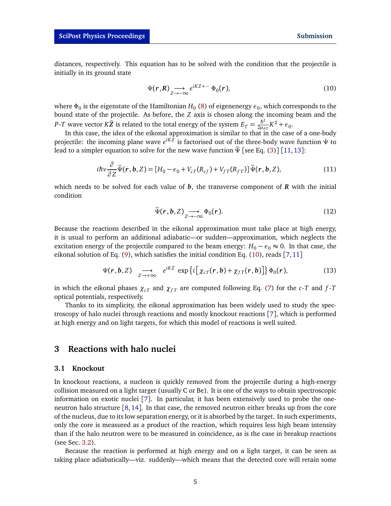distances, respectively. This equation has to be solved with the condition that the projectile is initially in its ground state

<span id="page-4-2"></span>
$$
\Psi(r,R) \underset{Z \to -\infty}{\longrightarrow} e^{iKZ + \cdots} \Phi_0(r), \tag{10}
$$

where  $\Phi_0$  is the eigenstate of the Hamiltonian  $H_0$  [\(8\)](#page-3-1) of eigenenergy  $\epsilon_0$ , which corresponds to the bound state of the projectile. As before, the *Z* axis is chosen along the incoming beam and the *P*-*T* wave vector *K* $\hat{Z}$  is related to the total energy of the system  $E_T = \frac{\hbar^2}{2\mu_P}$  $\frac{\hbar^2}{2\mu_{PT}} K^2 + \epsilon_0$ .

In this case, the idea of the eikonal approximation is similar to that in the case of a one-body projectile: the incoming plane wave  $e^{iKZ}$  is factorised out of the three-body wave function Ψ to lead to a simpler equation to solve for the new wave function  $\hat{\Psi}$  [see Eq. [\(3\)](#page-2-2)] [[11,](#page-11-10) [13](#page-12-0)]:

<span id="page-4-3"></span>
$$
i\hbar v \frac{\partial}{\partial z} \widehat{\Psi}(\mathbf{r}, \mathbf{b}, Z) = [H_0 - \epsilon_0 + V_{cT}(R_{cf}) + V_{fT}(R_{fT})] \widehat{\Psi}(\mathbf{r}, \mathbf{b}, Z), \tag{11}
$$

which needs to be solved for each value of *b*, the transverse component of *R* with the initial condition

$$
\widehat{\Psi}(r,b,Z) \underset{Z \to -\infty}{\longrightarrow} \Phi_0(r). \tag{12}
$$

Because the reactions described in the eikonal approximation must take place at high energy, it is usual to perform an additional adiabatic—or sudden—approximation, which neglects the excitation energy of the projectile compared to the beam energy:  $H_0 - \epsilon_0 \approx 0$ . In that case, the eikonal solution of Eq. [\(9\)](#page-3-2), which satisfies the initial condition Eq. [\(10\)](#page-4-2), reads [[7,](#page-11-6)[11](#page-11-10)]

$$
\Psi(\mathbf{r},\mathbf{b},Z) \xrightarrow[Z \to +\infty]{} e^{iKZ} \exp\left\{i\big[\chi_{cT}(\mathbf{r},\mathbf{b}) + \chi_{fT}(\mathbf{r},\mathbf{b})\big]\right\} \Phi_0(\mathbf{r}),\tag{13}
$$

in which the eikonal phases  $\chi_{cT}$  and  $\chi_{fT}$  are computed following Eq. [\(7\)](#page-3-3) for the *c*-*T* and *f*-*T* optical potentials, respectively.

Thanks to its simplicity, the eikonal approximation has been widely used to study the spectroscopy of halo nuclei through reactions and mostly knockout reactions [[7](#page-11-6)], which is performed at high energy and on light targets, for which this model of reactions is well suited.

# <span id="page-4-0"></span>**3 Reactions with halo nuclei**

#### <span id="page-4-1"></span>**3.1 Knockout**

In knockout reactions, a nucleon is quickly removed from the projectile during a high-energy collision measured on a light target (usually C or Be). It is one of the ways to obtain spectroscopic information on exotic nuclei [[7](#page-11-6)]. In particular, it has been extensively used to probe the oneneutron halo structure [[8,](#page-11-7) [14](#page-12-1)]. In that case, the removed neutron either breaks up from the core of the nucleus, due to its low separation energy, or it is absorbed by the target. In such experiments, only the core is measured as a product of the reaction, which requires less high beam intensity than if the halo neutron were to be measured in coincidence, as is the case in breakup reactions (see Sec. [3.2\)](#page-5-0).

Because the reaction is performed at high energy and on a light target, it can be seen as taking place adiabatically—viz. suddenly—which means that the detected core will retain some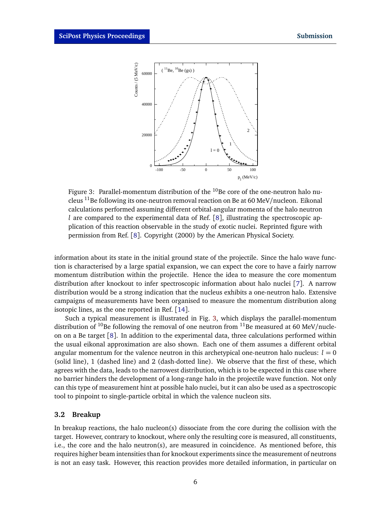<span id="page-5-1"></span>

Figure 3: Parallel-momentum distribution of the <sup>10</sup>Be core of the one cleus  $^{11}$ Be following its one-neutron removal reaction on Be at 60 MeV/nucleon. Eikonal calculations performed assuming different orbital-angular momenta of the halo neutron Figure 3: Parallel-momentum distribution of the  $^{10}$ Be core of the one-neutron halo nu-37 *l* are compared to the experimental data of Ref. [[8](#page-11-7)], illustrating the spectroscopic application of this reaction observable in the study of exotic nuclei. Reprinted figure with permission from Ref. [[8](#page-11-7)]. Copyright (2000) by the American Physical Society.

information about its state in the initial ground state of the projectile. Since the halo wave function is characterised by a large spatial expansion, we can expect the core to have a fairly narrow momentum distribution within the projectile. Hence the idea to measure the core momentum distribution after knockout to infer spectroscopic information about halo nuclei [[7](#page-11-6)]. A narrow distribution would be a strong indication that the nucleus exhibits a one-neutron halo. Extensive campaigns of measurements have been organised to measure the momentum distribution along isotopic lines, as the one reported in Ref. [[14](#page-12-1)].

Such a typical measurement is illustrated in Fig. [3,](#page-5-1) which displays the parallel-momentum distribution of <sup>10</sup>Be following the removal of one neutron from <sup>11</sup>Be measured at 60 MeV/nucleon on a Be target [[8](#page-11-7)]. In addition to the experimental data, three calculations performed within the usual eikonal approximation are also shown. Each one of them assumes a different orbital angular momentum for the valence neutron in this archetypical one-neutron halo nucleus:  $l = 0$ (solid line), 1 (dashed line) and 2 (dash-dotted line). We observe that the first of these, which agrees with the data, leads to the narrowest distribution, which is to be expected in this case where no barrier hinders the development of a long-range halo in the projectile wave function. Not only can this type of measurement hint at possible halo nuclei, but it can also be used as a spectroscopic tool to pinpoint to single-particle orbital in which the valence nucleon sits.

#### <span id="page-5-0"></span>**3.2 Breakup**

In breakup reactions, the halo nucleon(s) dissociate from the core during the collision with the target. However, contrary to knockout, where only the resulting core is measured, all constituents, i.e., the core and the halo neutron(s), are measured in coincidence. As mentioned before, this requires higher beam intensities than for knockout experiments since the measurement of neutrons is not an easy task. However, this reaction provides more detailed information, in particular on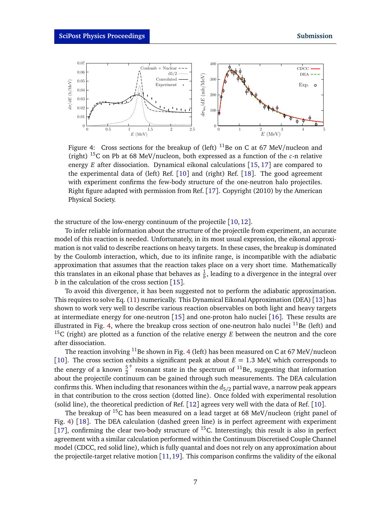<span id="page-6-0"></span>

Figure 4: Cross sections for the breakup of (left)  $^{11}$ Be on C at 67 MeV/nucleon and (right) <sup>15</sup>C on Pb at 68 MeV/nucleon, both expressed as a function of the *c*-n relative energy *E* after dissociation. Dynamical eikonal calculations [[15,](#page-12-2) [17](#page-12-3)] are compared to the experimental data of (left) Ref. [[10](#page-11-9)] and (right) Ref. [[18](#page-12-4)]. The good agreement with experiment confirms the few-body structure of the one-neutron halo projectiles. Right figure adapted with permission from Ref. [[17](#page-12-3)]. Copyright (2010) by the American Physical Society.

the structure of the low-energy continuum of the projectile [[10,](#page-11-9)[12](#page-11-11)].

To infer reliable information about the structure of the projectile from experiment, an accurate model of this reaction is needed. Unfortunately, in its most usual expression, the eikonal approximation is not valid to describe reactions on heavy targets. In these cases, the breakup is dominated by the Coulomb interaction, which, due to its infinite range, is incompatible with the adiabatic approximation that assumes that the reaction takes place on a very short time. Mathematically this translates in an eikonal phase that behaves as  $\frac{1}{b}$ , leading to a divergence in the integral over *b* in the calculation of the cross section [[15](#page-12-2)].

To avoid this divergence, it has been suggested not to perform the adiabatic approximation. This requires to solve Eq. [\(11\)](#page-4-3) numerically. This Dynamical Eikonal Approximation (DEA) [[13](#page-12-0)] has shown to work very well to describe various reaction observables on both light and heavy targets at intermediate energy for one-neutron [[15](#page-12-2)] and one-proton halo nuclei [[16](#page-12-5)]. These results are illustrated in Fig. [4,](#page-6-0) where the breakup cross section of one-neutron halo nuclei  $^{11}$ Be (left) and <sup>15</sup>C (right) are plotted as a function of the relative energy *E* between the neutron and the core after dissociation.

The reaction involving  $11$ Be shown in Fig. [4](#page-6-0) (left) has been measured on C at 67 MeV/nucleon [[10](#page-11-9)]. The cross section exhibits a significant peak at about  $E = 1.3$  MeV, which corresponds to the energy of a known  $\frac{5}{2}$  $^+$  resonant state in the spectrum of  $^{11}$ Be, suggesting that information about the projectile continuum can be gained through such measurements. The DEA calculation confirms this. When including that resonances within the  $d_{5/2}$  partial wave, a narrow peak appears in that contribution to the cross section (dotted line). Once folded with experimental resolution (solid line), the theoretical prediction of Ref. [[12](#page-11-11)] agrees very well with the data of Ref. [[10](#page-11-9)].

The breakup of  ${}^{15}C$  has been measured on a lead target at 68 MeV/nucleon (right panel of Fig. [4\)](#page-6-0) [[18](#page-12-4)]. The DEA calculation (dashed green line) is in perfect agreement with experiment [[17](#page-12-3)], confirming the clear two-body structure of  $^{15}$ C. Interestingly, this result is also in perfect agreement with a similar calculation performed within the Continuum Discretised Couple Channel model (CDCC, red solid line), which is fully quantal and does not rely on any approximation about the projectile-target relative motion [[11,](#page-11-10)[19](#page-12-6)]. This comparison confirms the validity of the eikonal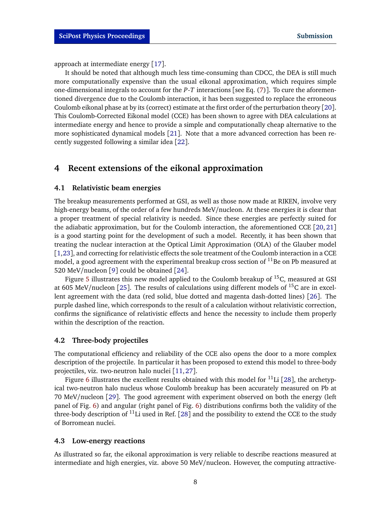approach at intermediate energy [[17](#page-12-3)].

It should be noted that although much less time-consuming than CDCC, the DEA is still much more computationally expensive than the usual eikonal approximation, which requires simple one-dimensional integrals to account for the *P*-*T* interactions [see Eq. [\(7\)](#page-3-3)]. To cure the aforementioned divergence due to the Coulomb interaction, it has been suggested to replace the erroneous Coulomb eikonal phase at by its (correct) estimate at the first order of the perturbation theory [[20](#page-12-7)]. This Coulomb-Corrected Eikonal model (CCE) has been shown to agree with DEA calculations at intermediate energy and hence to provide a simple and computationally cheap alternative to the more sophisticated dynamical models [[21](#page-12-8)]. Note that a more advanced correction has been recently suggested following a similar idea [[22](#page-12-9)].

### <span id="page-7-0"></span>**4 Recent extensions of the eikonal approximation**

#### <span id="page-7-1"></span>**4.1 Relativistic beam energies**

The breakup measurements performed at GSI, as well as those now made at RIKEN, involve very high-energy beams, of the order of a few hundreds MeV/nucleon. At these energies it is clear that a proper treatment of special relativity is needed. Since these energies are perfectly suited for the adiabatic approximation, but for the Coulomb interaction, the aforementioned CCE [[20,](#page-12-7) [21](#page-12-8)] is a good starting point for the development of such a model. Recently, it has been shown that treating the nuclear interaction at the Optical Limit Approximation (OLA) of the Glauber model [[1,](#page-11-0)[23](#page-12-10)], and correcting for relativistic effects the sole treatment of the Coulomb interaction in a CCE model, a good agreement with the experimental breakup cross section of  $^{11}$ Be on Pb measured at 520 MeV/nucleon [[9](#page-11-8)] could be obtained [[24](#page-12-11)].

Figure [5](#page-8-0) illustrates this new model applied to the Coulomb breakup of  ${}^{15}C$ , measured at GSI at 605 MeV/nucleon [[25](#page-12-12)]. The results of calculations using different models of  $^{15}C$  are in excellent agreement with the data (red solid, blue dotted and magenta dash-dotted lines) [[26](#page-12-13)]. The purple dashed line, which corresponds to the result of a calculation without relativistic correction, confirms the significance of relativistic effects and hence the necessity to include them properly within the description of the reaction.

#### <span id="page-7-2"></span>**4.2 Three-body projectiles**

The computational efficiency and reliability of the CCE also opens the door to a more complex description of the projectile. In particular it has been proposed to extend this model to three-body projectiles, viz. two-neutron halo nuclei [[11,](#page-11-10)[27](#page-13-0)].

Figure [6](#page-8-1) illustrates the excellent results obtained with this model for  $^{11}$ Li [[28](#page-13-1)], the archetypical two-neutron halo nucleus whose Coulomb breakup has been accurately measured on Pb at 70 MeV/nucleon [[29](#page-13-2)]. The good agreement with experiment observed on both the energy (left panel of Fig. [6\)](#page-8-1) and angular (right panel of Fig. [6\)](#page-8-1) distributions confirms both the validity of the three-body description of  $^{11}$ Li used in Ref. [[28](#page-13-1)] and the possibility to extend the CCE to the study of Borromean nuclei.

#### <span id="page-7-3"></span>**4.3 Low-energy reactions**

As illustrated so far, the eikonal approximation is very reliable to describe reactions measured at intermediate and high energies, viz. above 50 MeV/nucleon. However, the computing attractive-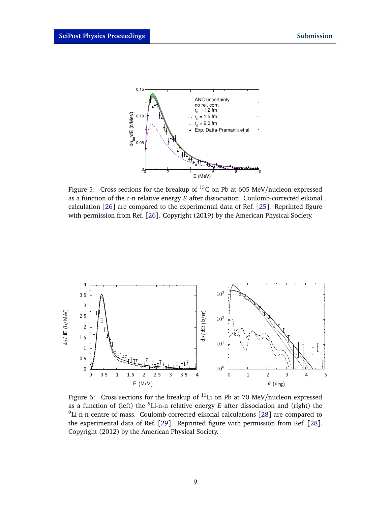<span id="page-8-0"></span>

Figure 5: Cross sections for the breakup of  ${}^{15}C$  on Pb at 605 MeV/nucleon expressed as a function of the *c*-n relative energy *E* after dissociation. Coulomb-corrected eikonal calculation [[26](#page-12-13)] are compared to the experimental data of Ref. [[25](#page-12-12)]. Reprinted figure with permission from Ref. [[26](#page-12-13)]. Copyright (2019) by the American Physical Society.

<span id="page-8-1"></span>

Figure 6: Cross sections for the breakup of  $^{11}$ Li on Pb at 70 MeV/nucleon expressed as a function of (left) the <sup>9</sup>Li-n-n relative energy *E* after dissociation and (right) the  $9$ Li-n-n centre of mass. Coulomb-corrected eikonal calculations [[28](#page-13-1)] are compared to the experimental data of Ref. [[29](#page-13-2)]. Reprinted figure with permission from Ref. [[28](#page-13-1)]. Copyright (2012) by the American Physical Society.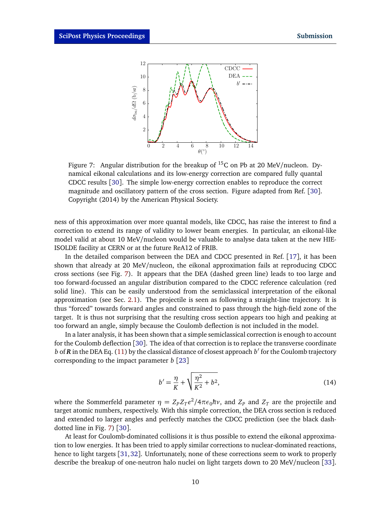<span id="page-9-0"></span>

Figure 7: Angular distribution for the breakup of  ${}^{15}C$  on Pb at 20 MeV/nucleon. Dynamical eikonal calculations and its low-energy correction are compared fully quantal CDCC results [[30](#page-13-3)]. The simple low-energy correction enables to reproduce the correct magnitude and oscillatory pattern of the cross section. Figure adapted from Ref. [[30](#page-13-3)]. Copyright (2014) by the American Physical Society.

ness of this approximation over more quantal models, like CDCC, has raise the interest to find a correction to extend its range of validity to lower beam energies. In particular, an eikonal-like model valid at about 10 MeV/nucleon would be valuable to analyse data taken at the new HIE-ISOLDE facility at CERN or at the future ReA12 of FRIB.

In the detailed comparison between the DEA and CDCC presented in Ref. [[17](#page-12-3)], it has been shown that already at 20 MeV/nucleon, the eikonal approximation fails at reproducing CDCC cross sections (see Fig. [7\)](#page-9-0). It appears that the DEA (dashed green line) leads to too large and too forward-focussed an angular distribution compared to the CDCC reference calculation (red solid line). This can be easily understood from the semiclassical interpretation of the eikonal approximation (see Sec. [2.1\)](#page-1-2). The projectile is seen as following a straight-line trajectory. It is thus "forced" towards forward angles and constrained to pass through the high-field zone of the target. It is thus not surprising that the resulting cross section appears too high and peaking at too forward an angle, simply because the Coulomb deflection is not included in the model.

In a later analysis, it has been shown that a simple semiclassical correction is enough to account for the Coulomb deflection [[30](#page-13-3)]. The idea of that correction is to replace the transverse coordinate *b* of *R* in the DEA Eq. [\(11\)](#page-4-3) by the classical distance of closest approach *b*' for the Coulomb trajectory corresponding to the impact parameter *b* [[23](#page-12-10)]

$$
b' = \frac{\eta}{K} + \sqrt{\frac{\eta^2}{K^2} + b^2},
$$
\n(14)

where the Sommerfeld parameter  $\eta = Z_P Z_T e^2/4\pi\epsilon_0\hbar\nu$ , and  $Z_P$  and  $Z_T$  are the projectile and target atomic numbers, respectively. With this simple correction, the DEA cross section is reduced and extended to larger angles and perfectly matches the CDCC prediction (see the black dashdotted line in Fig. [7\)](#page-9-0) [[30](#page-13-3)].

At least for Coulomb-dominated collisions it is thus possible to extend the eikonal approximation to low energies. It has been tried to apply similar corrections to nuclear-dominated reactions, hence to light targets [[31,](#page-13-4)[32](#page-13-5)]. Unfortunately, none of these corrections seem to work to properly describe the breakup of one-neutron halo nuclei on light targets down to 20 MeV/nucleon [[33](#page-13-6)].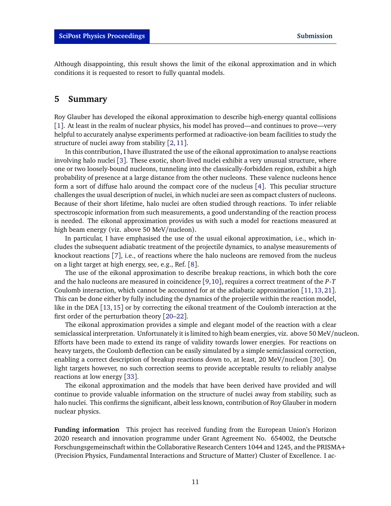Although disappointing, this result shows the limit of the eikonal approximation and in which conditions it is requested to resort to fully quantal models.

### <span id="page-10-0"></span>**5 Summary**

Roy Glauber has developed the eikonal approximation to describe high-energy quantal collisions [[1](#page-11-0)]. At least in the realm of nuclear physics, his model has proved—and continues to prove—very helpful to accurately analyse experiments performed at radioactive-ion beam facilities to study the structure of nuclei away from stability [[2,](#page-11-1)[11](#page-11-10)].

In this contribution, I have illustrated the use of the eikonal approximation to analyse reactions involving halo nuclei [[3](#page-11-2)]. These exotic, short-lived nuclei exhibit a very unusual structure, where one or two loosely-bound nucleons, tunneling into the classically-forbidden region, exhibit a high probability of presence at a large distance from the other nucleons. These valence nucleons hence form a sort of diffuse halo around the compact core of the nucleus [[4](#page-11-3)]. This peculiar structure challenges the usual description of nuclei, in which nuclei are seen as compact clusters of nucleons. Because of their short lifetime, halo nuclei are often studied through reactions. To infer reliable spectroscopic information from such measurements, a good understanding of the reaction process is needed. The eikonal approximation provides us with such a model for reactions measured at high beam energy (viz. above 50 MeV/nucleon).

In particular, I have emphasised the use of the usual eikonal approximation, i.e., which includes the subsequent adiabatic treatment of the projectile dynamics, to analyse measurements of knockout reactions [[7](#page-11-6)], i.e., of reactions where the halo nucleons are removed from the nucleus on a light target at high energy, see, e.g., Ref. [[8](#page-11-7)].

The use of the eikonal approximation to describe breakup reactions, in which both the core and the halo nucleons are measured in coincidence [[9,](#page-11-8)[10](#page-11-9)], requires a correct treatment of the *P*-*T* Coulomb interaction, which cannot be accounted for at the adiabatic approximation [[11,](#page-11-10)[13,](#page-12-0)[21](#page-12-8)]. This can be done either by fully including the dynamics of the projectile within the reaction model, like in the DEA [[13,](#page-12-0)[15](#page-12-2)] or by correcting the eikonal treatment of the Coulomb interaction at the first order of the perturbation theory [[20](#page-12-7)[–22](#page-12-9)].

The eikonal approximation provides a simple and elegant model of the reaction with a clear semiclassical interpretation. Unfortunately it is limited to high beam energies, viz. above 50 MeV/nucleon. Efforts have been made to extend its range of validity towards lower energies. For reactions on heavy targets, the Coulomb deflection can be easily simulated by a simple semiclassical correction, enabling a correct description of breakup reactions down to, at least, 20 MeV/nucleon [[30](#page-13-3)]. On light targets however, no such correction seems to provide acceptable results to reliably analyse reactions at low energy [[33](#page-13-6)].

The eikonal approximation and the models that have been derived have provided and will continue to provide valuable information on the structure of nuclei away from stability, such as halo nuclei. This confirms the significant, albeit less known, contribution of Roy Glauber in modern nuclear physics.

**Funding information** This project has received funding from the European Union's Horizon 2020 research and innovation programme under Grant Agreement No. 654002, the Deutsche Forschungsgemeinschaft within the Collaborative Research Centers 1044 and 1245, and the PRISMA+ (Precision Physics, Fundamental Interactions and Structure of Matter) Cluster of Excellence. I ac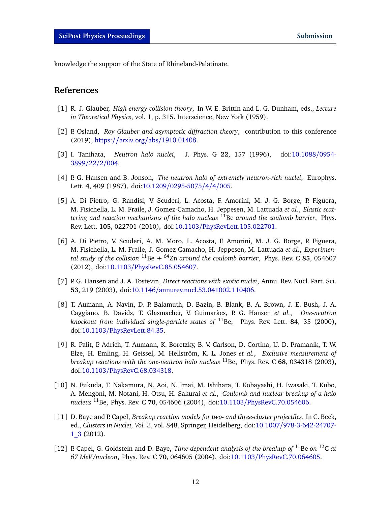knowledge the support of the State of Rhineland-Palatinate.

# **References**

- <span id="page-11-0"></span>[1] R. J. Glauber, *High energy collision theory*, In W. E. Brittin and L. G. Dunham, eds., *Lecture in Theoretical Physics*, vol. 1, p. 315. Interscience, New York (1959).
- <span id="page-11-1"></span>[2] P. Osland, *Roy Glauber and asymptotic diffraction theory*, contribution to this conference (2019), <https://arxiv.org/abs/1910.01408>.
- <span id="page-11-2"></span>[3] I. Tanihata, *Neutron halo nuclei*, J. Phys. G **22**, 157 (1996), doi[:10.1088](http://dx.doi.org/10.1088/0954-3899/22/2/004)/0954- [3899](http://dx.doi.org/10.1088/0954-3899/22/2/004)/22/2/004.
- <span id="page-11-3"></span>[4] P. G. Hansen and B. Jonson, *The neutron halo of extremely neutron-rich nuclei*, Europhys. Lett. **4**, 409 (1987), doi:10.1209/[0295-5075](http://dx.doi.org/10.1209/0295-5075/4/4/005)/4/4/005.
- <span id="page-11-4"></span>[5] A. Di Pietro, G. Randisi, V. Scuderi, L. Acosta, F. Amorini, M. J. G. Borge, P. Figuera, M. Fisichella, L. M. Fraile, J. Gomez-Camacho, H. Jeppesen, M. Lattuada *et al.*, *Elastic scattering and reaction mechanisms of the halo nucleus* <sup>11</sup>Be *around the coulomb barrier*, Phys. Rev. Lett. **105**, 022701 (2010), doi:10.1103/[PhysRevLett.105.022701.](http://dx.doi.org/10.1103/PhysRevLett.105.022701)
- <span id="page-11-5"></span>[6] A. Di Pietro, V. Scuderi, A. M. Moro, L. Acosta, F. Amorini, M. J. G. Borge, P. Figuera, M. Fisichella, L. M. Fraile, J. Gomez-Camacho, H. Jeppesen, M. Lattuada *et al.*, *Experimental study of the collision* <sup>11</sup>Be *+* <sup>64</sup>Zn *around the coulomb barrier*, Phys. Rev. C **85**, 054607 (2012), doi:10.1103/[PhysRevC.85.054607.](http://dx.doi.org/10.1103/PhysRevC.85.054607)
- <span id="page-11-6"></span>[7] P. G. Hansen and J. A. Tostevin, *Direct reactions with exotic nuclei*, Annu. Rev. Nucl. Part. Sci. **53**, 219 (2003), doi:10.1146/[annurev.nucl.53.041002.110406.](http://dx.doi.org/10.1146/annurev.nucl.53.041002.110406)
- <span id="page-11-7"></span>[8] T. Aumann, A. Navin, D. P. Balamuth, D. Bazin, B. Blank, B. A. Brown, J. E. Bush, J. A. Caggiano, B. Davids, T. Glasmacher, V. Guimarães, P. G. Hansen *et al.*, *One-neutron knockout from individual single-particle states of* <sup>11</sup>Be, Phys. Rev. Lett. **84**, 35 (2000), doi:10.1103/[PhysRevLett.84.35.](http://dx.doi.org/10.1103/PhysRevLett.84.35)
- <span id="page-11-8"></span>[9] R. Palit, P. Adrich, T. Aumann, K. Boretzky, B. V. Carlson, D. Cortina, U. D. Pramanik, T. W. Elze, H. Emling, H. Geissel, M. Hellström, K. L. Jones *et al.*, *Exclusive measurement of breakup reactions with the one-neutron halo nucleus* <sup>11</sup>Be, Phys. Rev. C **68**, 034318 (2003), doi:10.1103/[PhysRevC.68.034318.](http://dx.doi.org/10.1103/PhysRevC.68.034318)
- <span id="page-11-9"></span>[10] N. Fukuda, T. Nakamura, N. Aoi, N. Imai, M. Ishihara, T. Kobayashi, H. Iwasaki, T. Kubo, A. Mengoni, M. Notani, H. Otsu, H. Sakurai *et al.*, *Coulomb and nuclear breakup of a halo nucleus* <sup>11</sup>Be, Phys. Rev. C **70**, 054606 (2004), doi:10.1103/[PhysRevC.70.054606.](http://dx.doi.org/10.1103/PhysRevC.70.054606)
- <span id="page-11-10"></span>[11] D. Baye and P. Capel, *Breakup reaction models for two- and three-cluster projectiles*, In C. Beck, ed., *Clusters in Nuclei, Vol. 2*, vol. 848. Springer, Heidelberg, doi:10.1007/[978-3-642-24707-](http://dx.doi.org/10.1007/978-3-642-24707-1_3) [1\\_3](http://dx.doi.org/10.1007/978-3-642-24707-1_3) (2012).
- <span id="page-11-11"></span>[12] P. Capel, G. Goldstein and D. Baye, *Time-dependent analysis of the breakup of* <sup>11</sup>Be *on* <sup>12</sup>C *at 67 MeV/nucleon*, Phys. Rev. C **70**, 064605 (2004), doi:10.1103/[PhysRevC.70.064605.](http://dx.doi.org/10.1103/PhysRevC.70.064605)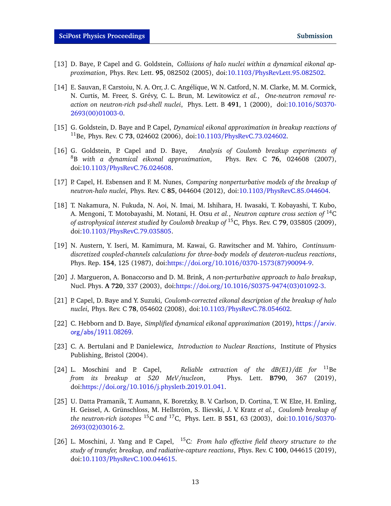- <span id="page-12-0"></span>[13] D. Baye, P. Capel and G. Goldstein, *Collisions of halo nuclei within a dynamical eikonal approximation*, Phys. Rev. Lett. **95**, 082502 (2005), doi:10.1103/[PhysRevLett.95.082502.](http://dx.doi.org/10.1103/PhysRevLett.95.082502)
- <span id="page-12-1"></span>[14] E. Sauvan, F. Carstoiu, N. A. Orr, J. C. Angélique, W. N. Catford, N. M. Clarke, M. M. Cormick, N. Curtis, M. Freer, S. Grévy, C. L. Brun, M. Lewitowicz *et al.*, *One-neutron removal reaction on neutron-rich psd-shell nuclei*, Phys. Lett. B **491**, 1 (2000), doi[:10.1016](http://dx.doi.org/10.1016/S0370-2693(00)01003-0)/S0370- [2693\(00\)01003-0.](http://dx.doi.org/10.1016/S0370-2693(00)01003-0)
- <span id="page-12-2"></span>[15] G. Goldstein, D. Baye and P. Capel, *Dynamical eikonal approximation in breakup reactions of* <sup>11</sup>Be, Phys. Rev. C **73**, 024602 (2006), doi:10.1103/[PhysRevC.73.024602.](http://dx.doi.org/10.1103/PhysRevC.73.024602)
- <span id="page-12-5"></span>[16] G. Goldstein, P. Capel and D. Baye, *Analysis of Coulomb breakup experiments of* <sup>8</sup>B *with a dynamical eikonal approximation*, Phys. Rev. C **76**, 024608 (2007), doi:10.1103/[PhysRevC.76.024608.](http://dx.doi.org/10.1103/PhysRevC.76.024608)
- <span id="page-12-3"></span>[17] P. Capel, H. Esbensen and F. M. Nunes, *Comparing nonperturbative models of the breakup of neutron-halo nuclei*, Phys. Rev. C **85**, 044604 (2012), doi:10.1103/[PhysRevC.85.044604.](http://dx.doi.org/10.1103/PhysRevC.85.044604)
- <span id="page-12-4"></span>[18] T. Nakamura, N. Fukuda, N. Aoi, N. Imai, M. Ishihara, H. Iwasaki, T. Kobayashi, T. Kubo, A. Mengoni, T. Motobayashi, M. Notani, H. Otsu *et al.*, *Neutron capture cross section of* <sup>14</sup>C *of astrophysical interest studied by Coulomb breakup of* <sup>15</sup>C, Phys. Rev. C **79**, 035805 (2009), doi:10.1103/[PhysRevC.79.035805.](http://dx.doi.org/10.1103/PhysRevC.79.035805)
- <span id="page-12-6"></span>[19] N. Austern, Y. Iseri, M. Kamimura, M. Kawai, G. Rawitscher and M. Yahiro, *Continuumdiscretized coupled-channels calculations for three-body models of deuteron-nucleus reactions*, Phys. Rep. **154**, 125 (1987), doi:https://doi.org/10.1016/[0370-1573\(87\)90094-9.](http://dx.doi.org/https://doi.org/10.1016/0370-1573(87)90094-9)
- <span id="page-12-7"></span>[20] J. Margueron, A. Bonaccorso and D. M. Brink, *A non-perturbative approach to halo breakup*, Nucl. Phys. **A 720**, 337 (2003), doi:https://doi.org/10.1016/[S0375-9474\(03\)01092-3.](http://dx.doi.org/https://doi.org/10.1016/S0375-9474(03)01092-3)
- <span id="page-12-8"></span>[21] P. Capel, D. Baye and Y. Suzuki, *Coulomb-corrected eikonal description of the breakup of halo nuclei*, Phys. Rev. C **78**, 054602 (2008), doi:10.1103/[PhysRevC.78.054602.](http://dx.doi.org/10.1103/PhysRevC.78.054602)
- <span id="page-12-9"></span>[22] C. Hebborn and D. Baye, *Simplified dynamical eikonal approximation* (2019), [https://arxiv.](https://arxiv.org/abs/1911.08269) [org/abs/1911.08269](https://arxiv.org/abs/1911.08269).
- <span id="page-12-10"></span>[23] C. A. Bertulani and P. Danielewicz, *Introduction to Nuclear Reactions*, Institute of Physics Publishing, Bristol (2004).
- <span id="page-12-11"></span>[24] L. Moschini and P. Capel, *Reliable extraction of the dB(E1)/dE for* <sup>11</sup>Be *from its breakup at 520 MeV/nucleon*, Phys. Lett. **B790**, 367 (2019), doi:https://doi.org/10.1016/[j.physletb.2019.01.041.](http://dx.doi.org/https://doi.org/10.1016/j.physletb.2019.01.041)
- <span id="page-12-12"></span>[25] U. Datta Pramanik, T. Aumann, K. Boretzky, B. V. Carlson, D. Cortina, T. W. Elze, H. Emling, H. Geissel, A. Grünschloss, M. Hellström, S. Ilievski, J. V. Kratz *et al.*, *Coulomb breakup of the neutron-rich isotopes* <sup>15</sup>C *and* <sup>17</sup>C, Phys. Lett. B **551**, 63 (2003), doi[:10.1016](http://dx.doi.org/10.1016/S0370-2693(02)03016-2)/S0370- [2693\(02\)03016-2.](http://dx.doi.org/10.1016/S0370-2693(02)03016-2)
- <span id="page-12-13"></span>[26] L. Moschini, J. Yang and P. Capel, <sup>15</sup>C*: From halo effective field theory structure to the study of transfer, breakup, and radiative-capture reactions*, Phys. Rev. C **100**, 044615 (2019), doi:10.1103/[PhysRevC.100.044615.](http://dx.doi.org/10.1103/PhysRevC.100.044615)